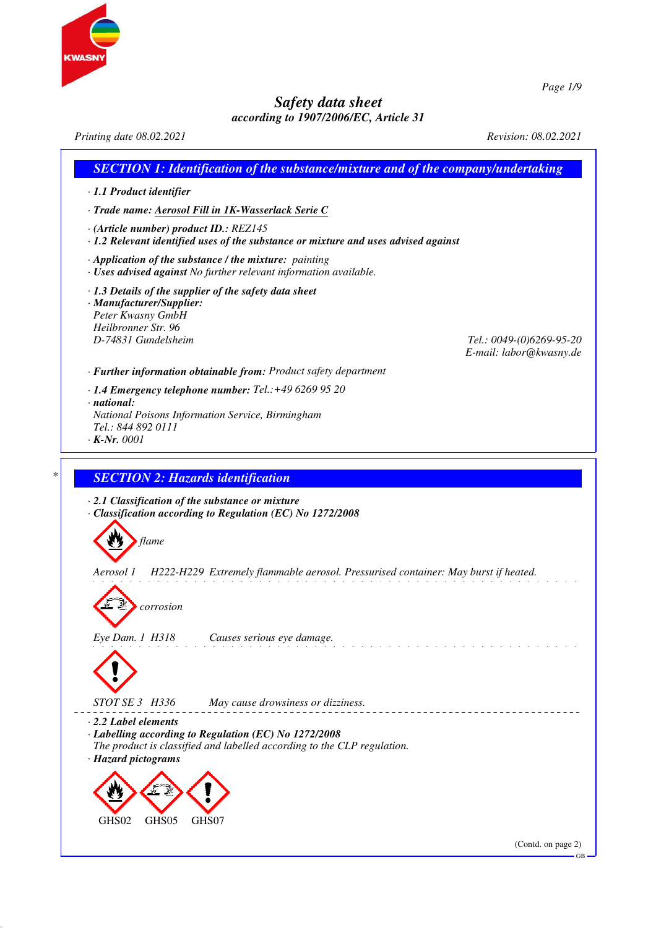



*Page 1/9*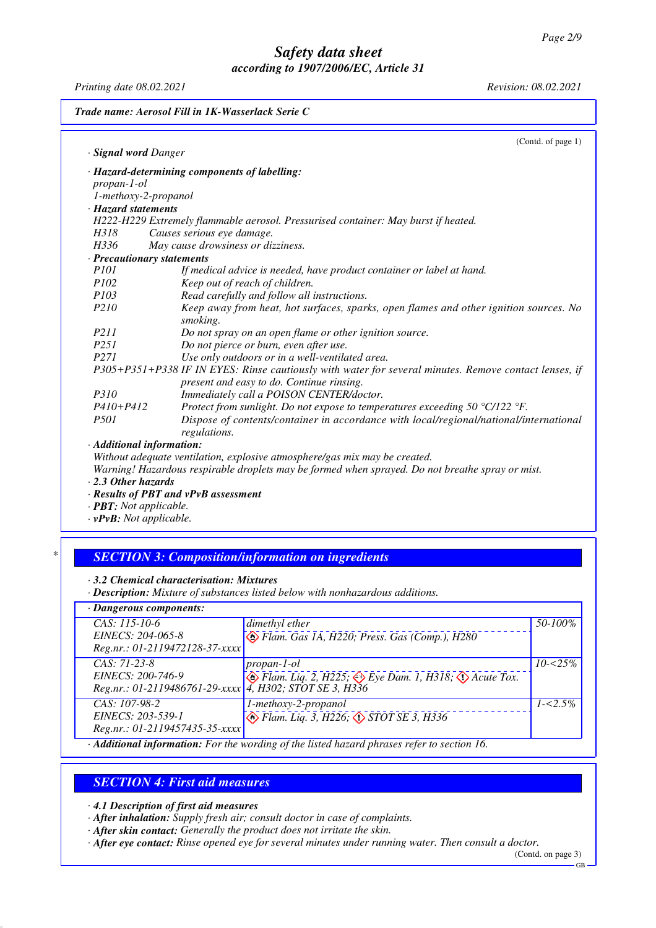*Printing date 08.02.2021 Revision: 08.02.2021*

| Trade name: Aerosol Fill in 1K-Wasserlack Serie C |                                                                                                                                                    |  |
|---------------------------------------------------|----------------------------------------------------------------------------------------------------------------------------------------------------|--|
|                                                   | (Contd. of page 1)                                                                                                                                 |  |
| · <b>Signal word</b> Danger                       |                                                                                                                                                    |  |
|                                                   | · Hazard-determining components of labelling:                                                                                                      |  |
| $propan-1-ol$                                     |                                                                                                                                                    |  |
| 1-methoxy-2-propanol                              |                                                                                                                                                    |  |
| · Hazard statements                               |                                                                                                                                                    |  |
|                                                   | H222-H229 Extremely flammable aerosol. Pressurised container: May burst if heated.                                                                 |  |
| H318                                              | Causes serious eye damage.                                                                                                                         |  |
| H336                                              | May cause drowsiness or dizziness.                                                                                                                 |  |
|                                                   | · Precautionary statements                                                                                                                         |  |
| <i>P101</i>                                       | If medical advice is needed, have product container or label at hand.                                                                              |  |
| P102                                              | Keep out of reach of children.                                                                                                                     |  |
| <i>P103</i>                                       | Read carefully and follow all instructions.                                                                                                        |  |
| P210                                              | Keep away from heat, hot surfaces, sparks, open flames and other ignition sources. No<br>smoking.                                                  |  |
| P211                                              | Do not spray on an open flame or other ignition source.                                                                                            |  |
| P <sub>251</sub>                                  | Do not pierce or burn, even after use.                                                                                                             |  |
| P <sub>271</sub>                                  | Use only outdoors or in a well-ventilated area.                                                                                                    |  |
|                                                   | P305+P351+P338 IF IN EYES: Rinse cautiously with water for several minutes. Remove contact lenses, if<br>present and easy to do. Continue rinsing. |  |
| <i>P310</i>                                       | Immediately call a POISON CENTER/doctor.                                                                                                           |  |
| $P410 + P412$                                     | Protect from sunlight. Do not expose to temperatures exceeding 50 $\degree$ C/122 $\degree$ F.                                                     |  |
| <i>P501</i>                                       | Dispose of contents/container in accordance with local/regional/national/international<br>regulations.                                             |  |
|                                                   | · Additional information:                                                                                                                          |  |
|                                                   | Without adequate ventilation, explosive atmosphere/gas mix may be created.                                                                         |  |
|                                                   | Warning! Hazardous respirable droplets may be formed when sprayed. Do not breathe spray or mist.                                                   |  |
| $\cdot$ 2.3 Other hazards                         |                                                                                                                                                    |  |

*· Results of PBT and vPvB assessment*

*· PBT: Not applicable.*

*· vPvB: Not applicable.*

## *\* SECTION 3: Composition/information on ingredients*

*· 3.2 Chemical characterisation: Mixtures*

*· Description: Mixture of substances listed below with nonhazardous additions.*

| · Dangerous components:                                                                          |                                                                                                              |              |  |  |  |
|--------------------------------------------------------------------------------------------------|--------------------------------------------------------------------------------------------------------------|--------------|--|--|--|
| $CAS: 115-10-6$<br>EINECS: 204-065-8                                                             | dimethyl ether                                                                                               | 50-100%      |  |  |  |
| Reg.nr.: 01-2119472128-37-xxxx                                                                   | Flam. Gas 1A, H220; Press. Gas (Comp.), H280                                                                 |              |  |  |  |
| $CAS: 71-23-8$<br>EINECS: 200-746-9<br>Reg.nr.: 01-2119486761-29-xxxx   4, H302; STOT SE 3, H336 | $propan-1-ol$<br>$\bullet$ Flam. Liq. 2, H225; $\Leftrightarrow$ Eye Dam. 1, H318; $\diamondsuit$ Acute Tox. | $10 - 525\%$ |  |  |  |
| $CAS: 107-98-2$                                                                                  | 1-methoxy-2-propanol                                                                                         | $1 - 5\%$    |  |  |  |
| EINECS: 203-539-1<br>Reg.nr.: 01-2119457435-35-xxxx                                              | $\circled{$ Flam. Liq. 3, H226, $\circled{}$ STOT SE 3, H336                                                 |              |  |  |  |
| Additional information: For the wording of the listed hazard phrases refer to section 16         |                                                                                                              |              |  |  |  |

*· Additional information: For the wording of the listed hazard phrases refer to section 16.*

### *SECTION 4: First aid measures*

*· 4.1 Description of first aid measures*

*· After inhalation: Supply fresh air; consult doctor in case of complaints.*

*· After skin contact: Generally the product does not irritate the skin.*

*· After eye contact: Rinse opened eye for several minutes under running water. Then consult a doctor.*

(Contd. on page 3) GB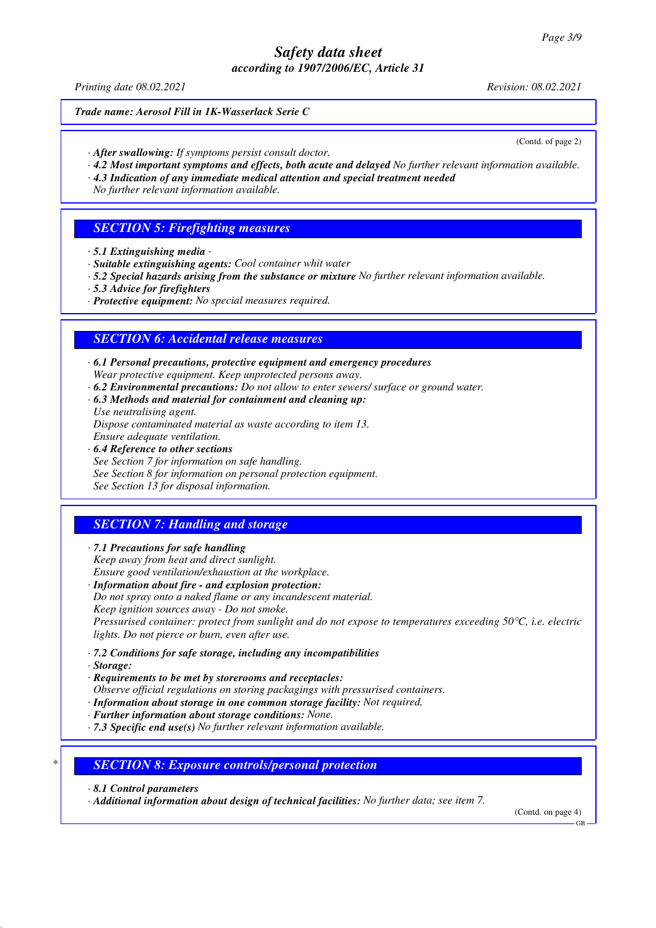*Printing date 08.02.2021 Revision: 08.02.2021*

#### *Trade name: Aerosol Fill in 1K-Wasserlack Serie C*

(Contd. of page 2)

- *· After swallowing: If symptoms persist consult doctor.*
- *· 4.2 Most important symptoms and effects, both acute and delayed No further relevant information available.*
- *· 4.3 Indication of any immediate medical attention and special treatment needed No further relevant information available.*

### *SECTION 5: Firefighting measures*

- *· 5.1 Extinguishing media*
- *· Suitable extinguishing agents: Cool container whit water*
- *· 5.2 Special hazards arising from the substance or mixture No further relevant information available.*
- *· 5.3 Advice for firefighters*
- *· Protective equipment: No special measures required.*

#### *SECTION 6: Accidental release measures*

- *· 6.1 Personal precautions, protective equipment and emergency procedures Wear protective equipment. Keep unprotected persons away.*
- *· 6.2 Environmental precautions: Do not allow to enter sewers/ surface or ground water.*
- *· 6.3 Methods and material for containment and cleaning up: Use neutralising agent. Dispose contaminated material as waste according to item 13. Ensure adequate ventilation.*
- *· 6.4 Reference to other sections See Section 7 for information on safe handling. See Section 8 for information on personal protection equipment. See Section 13 for disposal information.*

## *SECTION 7: Handling and storage*

- *· 7.1 Precautions for safe handling Keep away from heat and direct sunlight. Ensure good ventilation/exhaustion at the workplace.*
- *· Information about fire and explosion protection: Do not spray onto a naked flame or any incandescent material. Keep ignition sources away - Do not smoke. Pressurised container: protect from sunlight and do not expose to temperatures exceeding 50°C, i.e. electric lights. Do not pierce or burn, even after use.*
- *· 7.2 Conditions for safe storage, including any incompatibilities*
- *· Storage:*
- *· Requirements to be met by storerooms and receptacles:*
- *Observe official regulations on storing packagings with pressurised containers.*
- *· Information about storage in one common storage facility: Not required.*
- *· Further information about storage conditions: None.*
- *· 7.3 Specific end use(s) No further relevant information available.*

*\* SECTION 8: Exposure controls/personal protection*

*· 8.1 Control parameters*

*· Additional information about design of technical facilities: No further data; see item 7.*

(Contd. on page 4)

GB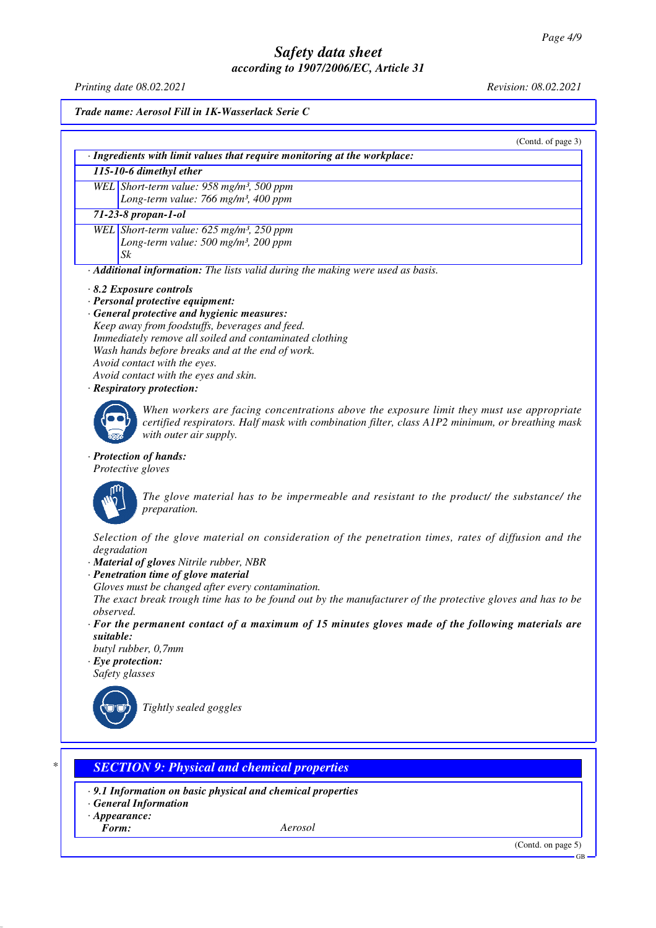*Printing date 08.02.2021 Revision: 08.02.2021*

*Trade name: Aerosol Fill in 1K-Wasserlack Serie C*

(Contd. of page 3)

*· Ingredients with limit values that require monitoring at the workplace:*

*115-10-6 dimethyl ether*

*WEL Short-term value: 958 mg/m³, 500 ppm Long-term value: 766 mg/m³, 400 ppm*

*71-23-8 propan-1-ol*

*WEL Short-term value: 625 mg/m³, 250 ppm Long-term value: 500 mg/m³, 200 ppm Sk*

*· Additional information: The lists valid during the making were used as basis.*

- *· 8.2 Exposure controls*
- *· Personal protective equipment:*
- *· General protective and hygienic measures: Keep away from foodstuffs, beverages and feed. Immediately remove all soiled and contaminated clothing Wash hands before breaks and at the end of work. Avoid contact with the eyes. Avoid contact with the eyes and skin.*
- *· Respiratory protection:*



*When workers are facing concentrations above the exposure limit they must use appropriate certified respirators. Half mask with combination filter, class A1P2 minimum, or breathing mask with outer air supply.*

*· Protection of hands:*

*Protective gloves*



*The glove material has to be impermeable and resistant to the product/ the substance/ the preparation.*

*Selection of the glove material on consideration of the penetration times, rates of diffusion and the degradation*

- *· Material of gloves Nitrile rubber, NBR*
- *· Penetration time of glove material*
- *Gloves must be changed after every contamination.*

*The exact break trough time has to be found out by the manufacturer of the protective gloves and has to be observed.*

*· For the permanent contact of a maximum of 15 minutes gloves made of the following materials are suitable:*

*butyl rubber, 0,7mm*

*· Eye protection: Safety glasses*



*Tightly sealed goggles*

## *\* SECTION 9: Physical and chemical properties*

- *· 9.1 Information on basic physical and chemical properties*
- *· General Information*
- *· Appearance:*

*Form: Aerosol*

(Contd. on page 5)

GB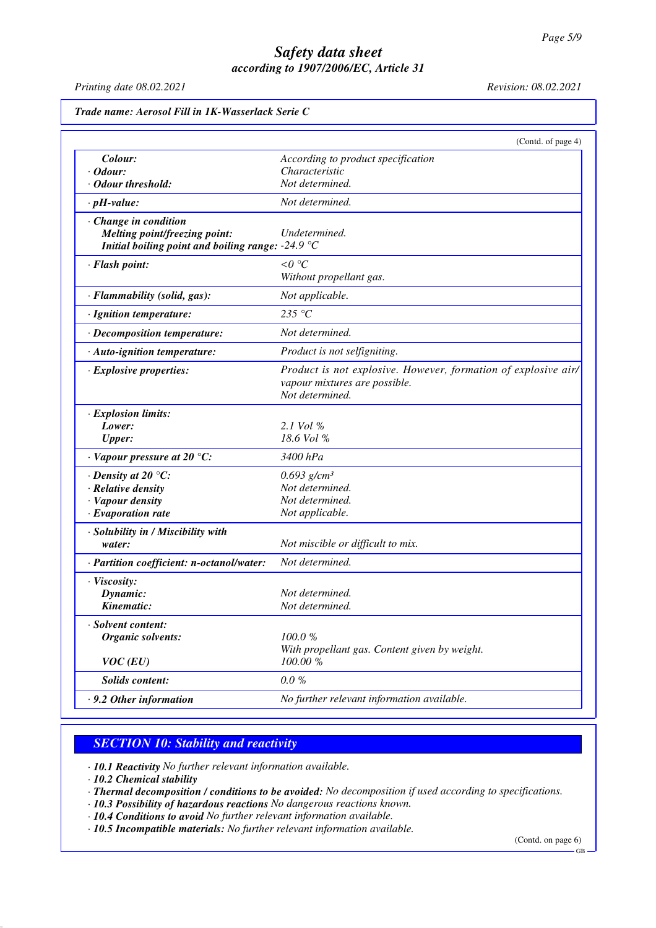*Printing date 08.02.2021 Revision: 08.02.2021*

| Trade name: Aerosol Fill in 1K-Wasserlack Serie C           |                                                                |
|-------------------------------------------------------------|----------------------------------------------------------------|
|                                                             | (Contd. of page 4)                                             |
| Colour:                                                     | According to product specification                             |
| $\cdot$ Odour:                                              | Characteristic                                                 |
| · Odour threshold:                                          | Not determined.                                                |
| $\cdot$ pH-value:                                           | Not determined.                                                |
| $\cdot$ Change in condition                                 |                                                                |
| Melting point/freezing point:                               | Undetermined.                                                  |
| Initial boiling point and boiling range: -24.9 $\mathrm{C}$ |                                                                |
| · Flash point:                                              | $< 0$ °C                                                       |
|                                                             | Without propellant gas.                                        |
| · Flammability (solid, gas):                                | Not applicable.                                                |
| · Ignition temperature:                                     | 235 °C                                                         |
| · Decomposition temperature:                                | Not determined.                                                |
| · Auto-ignition temperature:                                | Product is not selfigniting.                                   |
| $\cdot$ Explosive properties:                               | Product is not explosive. However, formation of explosive air/ |
|                                                             | vapour mixtures are possible.                                  |
|                                                             | Not determined.                                                |
| $\cdot$ Explosion limits:                                   |                                                                |
| Lower:                                                      | 2.1 Vol %                                                      |
| <b>Upper:</b>                                               | 18.6 Vol %                                                     |
| $\cdot$ Vapour pressure at 20 °C:                           | 3400 hPa                                                       |
| $\cdot$ Density at 20 °C:                                   | $0.693$ g/cm <sup>3</sup>                                      |
| · Relative density                                          | Not determined.                                                |
| · Vapour density                                            | Not determined.                                                |
| $\cdot$ Evaporation rate                                    | Not applicable.                                                |
| · Solubility in / Miscibility with                          |                                                                |
| water:                                                      | Not miscible or difficult to mix.                              |
| · Partition coefficient: n-octanol/water:                   | Not determined.                                                |
| · Viscosity:                                                |                                                                |
| Dynamic:                                                    | Not determined.                                                |
| Kinematic:                                                  | Not determined.                                                |
| · Solvent content:                                          |                                                                |
| Organic solvents:                                           | 100.0%                                                         |
|                                                             | With propellant gas. Content given by weight.                  |
| $VOC$ (EU)                                                  | 100.00 %                                                       |
| <b>Solids content:</b>                                      | $0.0 \%$                                                       |
| $\cdot$ 9.2 Other information                               | No further relevant information available.                     |

## *SECTION 10: Stability and reactivity*

*· 10.1 Reactivity No further relevant information available.*

*· 10.2 Chemical stability*

*· Thermal decomposition / conditions to be avoided: No decomposition if used according to specifications.*

- *· 10.3 Possibility of hazardous reactions No dangerous reactions known.*
- *· 10.4 Conditions to avoid No further relevant information available.*

*· 10.5 Incompatible materials: No further relevant information available.*

(Contd. on page 6)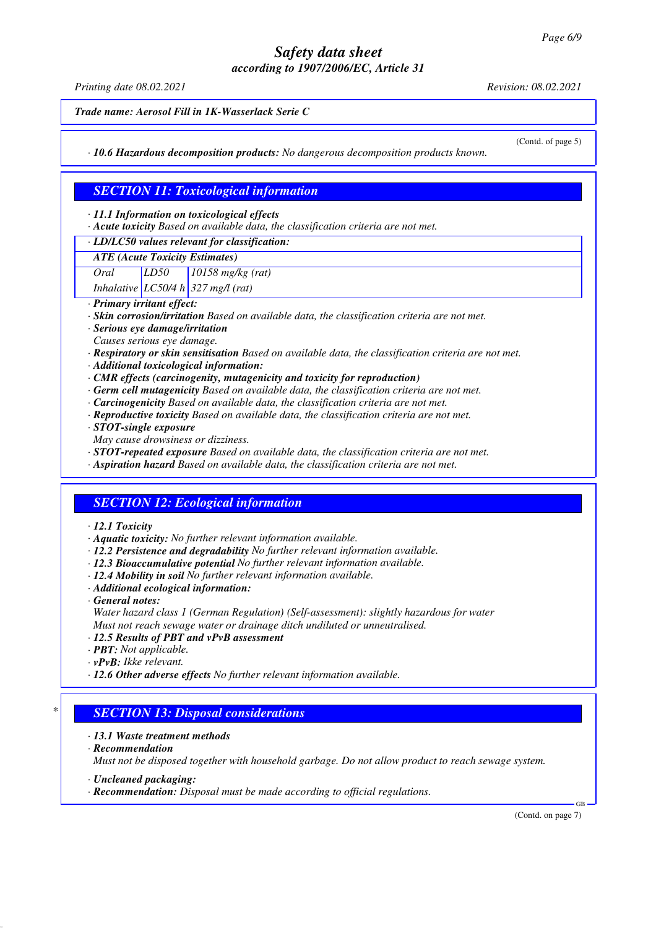*Printing date 08.02.2021 Revision: 08.02.2021*

*Trade name: Aerosol Fill in 1K-Wasserlack Serie C*

(Contd. of page 5)

*· 10.6 Hazardous decomposition products: No dangerous decomposition products known.*

## *SECTION 11: Toxicological information*

*· 11.1 Information on toxicological effects*

*· Acute toxicity Based on available data, the classification criteria are not met.*

#### *· LD/LC50 values relevant for classification:*

*ATE (Acute Toxicity Estimates)*

*Oral LD50 10158 mg/kg (rat)*

*Inhalative LC50/4 h 327 mg/l (rat)*

*· Primary irritant effect:*

- *· Skin corrosion/irritation Based on available data, the classification criteria are not met.*
- *· Serious eye damage/irritation*
- *Causes serious eye damage.*
- *· Respiratory or skin sensitisation Based on available data, the classification criteria are not met.*
- *· Additional toxicological information:*
- *· CMR effects (carcinogenity, mutagenicity and toxicity for reproduction)*
- *· Germ cell mutagenicity Based on available data, the classification criteria are not met.*
- *· Carcinogenicity Based on available data, the classification criteria are not met.*
- *· Reproductive toxicity Based on available data, the classification criteria are not met.*
- *· STOT-single exposure*
- *May cause drowsiness or dizziness.*
- *· STOT-repeated exposure Based on available data, the classification criteria are not met.*
- *· Aspiration hazard Based on available data, the classification criteria are not met.*

#### *SECTION 12: Ecological information*

- *· 12.1 Toxicity*
- *· Aquatic toxicity: No further relevant information available.*
- *· 12.2 Persistence and degradability No further relevant information available.*
- *· 12.3 Bioaccumulative potential No further relevant information available.*
- *· 12.4 Mobility in soil No further relevant information available.*
- *· Additional ecological information:*
- *· General notes:*
- *Water hazard class 1 (German Regulation) (Self-assessment): slightly hazardous for water Must not reach sewage water or drainage ditch undiluted or unneutralised.*
- *· 12.5 Results of PBT and vPvB assessment*
- *· PBT: Not applicable.*
- *· vPvB: Ikke relevant.*
- *· 12.6 Other adverse effects No further relevant information available.*

#### *\* SECTION 13: Disposal considerations*

- *· 13.1 Waste treatment methods*
- *· Recommendation*

*Must not be disposed together with household garbage. Do not allow product to reach sewage system.*

- *· Uncleaned packaging:*
- *· Recommendation: Disposal must be made according to official regulations.*

(Contd. on page 7)

GB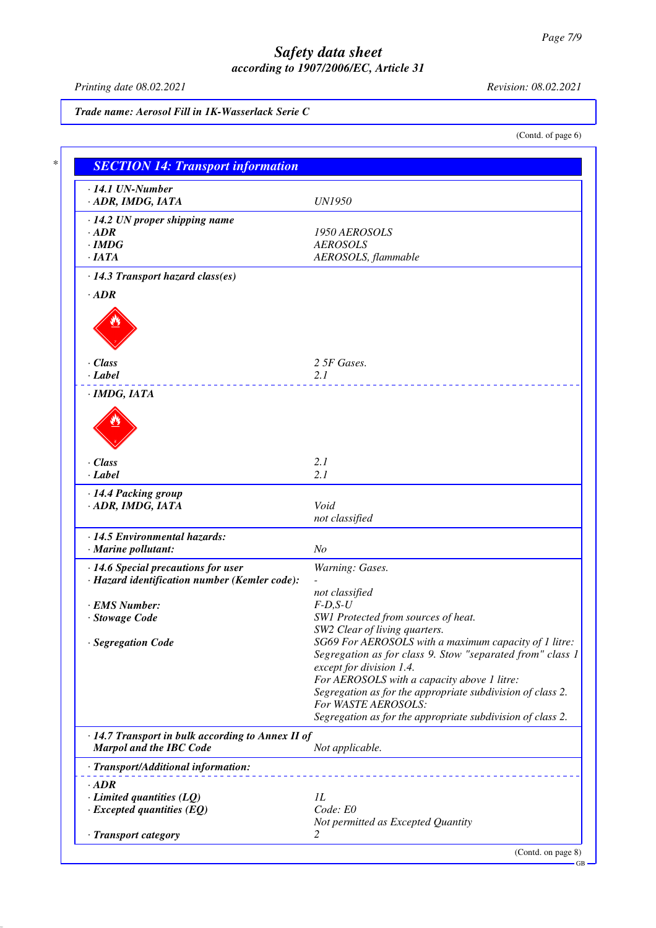*Printing date 08.02.2021 Revision: 08.02.2021*

(Contd. of page 6)

*Trade name: Aerosol Fill in 1K-Wasserlack Serie C*

*\* SECTION 14: Transport information · 14.1 UN-Number · ADR, IMDG, IATA UN1950 · 14.2 UN proper shipping name · ADR 1950 AEROSOLS · IMDG AEROSOLS · IATA AEROSOLS, flammable · 14.3 Transport hazard class(es) · ADR · Class 2 5F Gases. · Label 2.1 · IMDG, IATA · Class 2.1 · Label 2.1 · 14.4 Packing group · ADR, IMDG, IATA Void not classified · 14.5 Environmental hazards: · Marine pollutant: No · 14.6 Special precautions for user Warning: Gases. · Hazard identification number (Kemler code): not classified · EMS Number: F-D,S-U · Stowage Code SW1 Protected from sources of heat. SW2 Clear of living quarters. · Segregation Code SG69 For AEROSOLS with a maximum capacity of 1 litre: Segregation as for class 9. Stow "separated from" class 1 except for division 1.4. For AEROSOLS with a capacity above 1 litre: Segregation as for the appropriate subdivision of class 2. For WASTE AEROSOLS: Segregation as for the appropriate subdivision of class 2. · 14.7 Transport in bulk according to Annex II of Marpol and the IBC Code Not applicable. · Transport/Additional information: · ADR <i>·* **Limited quantities (LQ)** *1L*<br>*· Excepted quantities (EO) Code: E0 <i>· Excepted quantities (EQ) Not permitted as Excepted Quantity · Transport category 2*  (Contd. on page 8) GB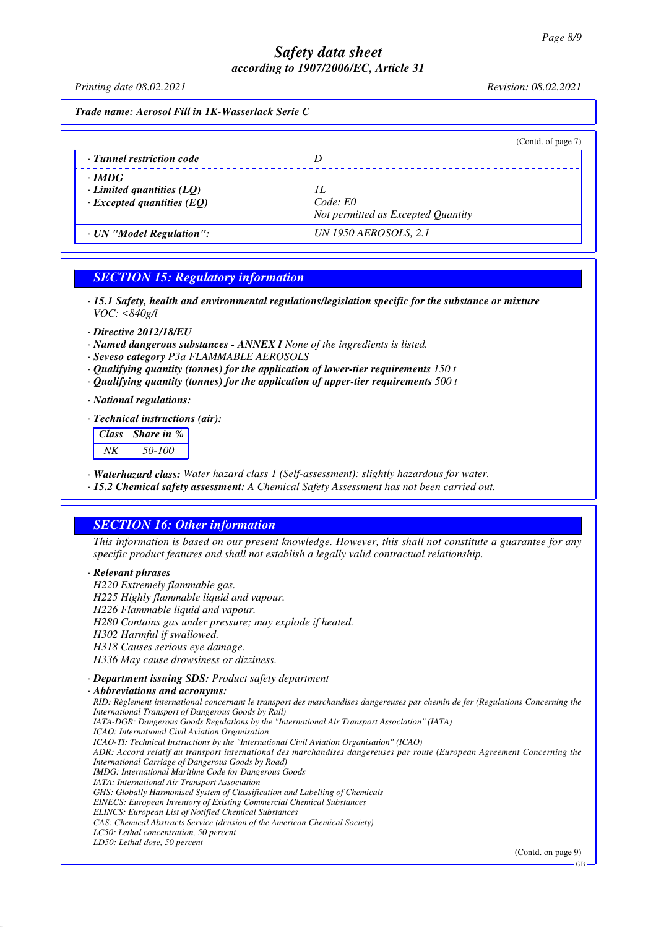*Printing date 08.02.2021 Revision: 08.02.2021*

*Trade name: Aerosol Fill in 1K-Wasserlack Serie C*

|                                                                                     | (Contd. of page 7)                                   |
|-------------------------------------------------------------------------------------|------------------------------------------------------|
| · Tunnel restriction code                                                           |                                                      |
| $\cdot$ IMDG<br>$\cdot$ Limited quantities (LQ)<br>$\cdot$ Excepted quantities (EQ) | Н.<br>Code: E0<br>Not permitted as Excepted Quantity |
| · UN "Model Regulation":                                                            | UN 1950 AEROSOLS, 2.1                                |

## *SECTION 15: Regulatory information*

*· 15.1 Safety, health and environmental regulations/legislation specific for the substance or mixture VOC: <840g/l*

- *· Directive 2012/18/EU*
- *· Named dangerous substances ANNEX I None of the ingredients is listed.*
- *· Seveso category P3a FLAMMABLE AEROSOLS*
- *· Qualifying quantity (tonnes) for the application of lower-tier requirements 150 t*
- *· Qualifying quantity (tonnes) for the application of upper-tier requirements 500 t*
- *· National regulations:*
- *· Technical instructions (air):*

| Class Share in % |
|------------------|
| 50-100           |

- *· Waterhazard class: Water hazard class 1 (Self-assessment): slightly hazardous for water.*
- *· 15.2 Chemical safety assessment: A Chemical Safety Assessment has not been carried out.*

## *SECTION 16: Other information*

*This information is based on our present knowledge. However, this shall not constitute a guarantee for any specific product features and shall not establish a legally valid contractual relationship.*

#### *· Relevant phrases*

*H220 Extremely flammable gas. H225 Highly flammable liquid and vapour. H226 Flammable liquid and vapour. H280 Contains gas under pressure; may explode if heated. H302 Harmful if swallowed. H318 Causes serious eye damage. H336 May cause drowsiness or dizziness. · Department issuing SDS: Product safety department*

#### *· Abbreviations and acronyms:*

*RID: Règlement international concernant le transport des marchandises dangereuses par chemin de fer (Regulations Concerning the International Transport of Dangerous Goods by Rail) IATA-DGR: Dangerous Goods Regulations by the "International Air Transport Association" (IATA) ICAO: International Civil Aviation Organisation ICAO-TI: Technical Instructions by the "International Civil Aviation Organisation" (ICAO) ADR: Accord relatif au transport international des marchandises dangereuses par route (European Agreement Concerning the International Carriage of Dangerous Goods by Road) IMDG: International Maritime Code for Dangerous Goods IATA: International Air Transport Association GHS: Globally Harmonised System of Classification and Labelling of Chemicals EINECS: European Inventory of Existing Commercial Chemical Substances ELINCS: European List of Notified Chemical Substances CAS: Chemical Abstracts Service (division of the American Chemical Society) LC50: Lethal concentration, 50 percent LD50: Lethal dose, 50 percent*

(Contd. on page 9)

GB